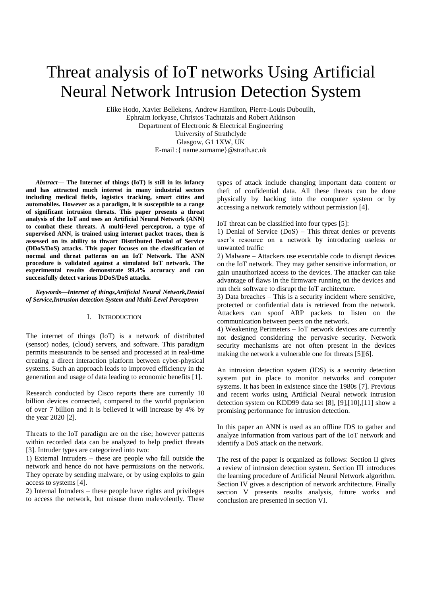# Threat analysis of IoT networks Using Artificial Neural Network Intrusion Detection System

Elike Hodo, Xavier Bellekens, Andrew Hamilton, Pierre-Louis Dubouilh, Ephraim Iorkyase, Christos Tachtatzis and Robert Atkinson Department of Electronic & Electrical Engineering University of Strathclyde Glasgow, G1 1XW, UK E-mail :{ name.surname}@strath.ac.uk

*Abstract***— The Internet of things (IoT) is still in its infancy and has attracted much interest in many industrial sectors including medical fields, logistics tracking, smart cities and automobiles. However as a paradigm, it is susceptible to a range of significant intrusion threats. This paper presents a threat analysis of the IoT and uses an Artificial Neural Network (ANN) to combat these threats. A multi-level perceptron, a type of supervised ANN, is trained using internet packet traces, then is assessed on its ability to thwart Distributed Denial of Service (DDoS/DoS) attacks. This paper focuses on the classification of normal and threat patterns on an IoT Network. The ANN procedure is validated against a simulated IoT network. The experimental results demonstrate 99.4% accuracy and can successfully detect various DDoS/DoS attacks.**

#### *Keywords—Internet of things,Artificial Neural Network,Denial of Service,Intrusion detection System and Multi-Level Perceptron*

### I. INTRODUCTION

The internet of things (IoT) is a network of distributed (sensor) nodes, (cloud) servers, and software. This paradigm permits measurands to be sensed and processed at in real-time creating a direct interaction platform between cyber-physical systems. Such an approach leads to improved efficiency in the generation and usage of data leading to economic benefits [1].

Research conducted by Cisco reports there are currently 10 billion devices connected, compared to the world population of over 7 billion and it is believed it will increase by 4% by the year 2020 [2].

Threats to the IoT paradigm are on the rise; however patterns within recorded data can be analyzed to help predict threats [3]. Intruder types are categorized into two:

1) External Intruders – these are people who fall outside the network and hence do not have permissions on the network. They operate by sending malware, or by using exploits to gain access to systems [4].

2) Internal Intruders – these people have rights and privileges to access the network, but misuse them malevolently. These types of attack include changing important data content or theft of confidential data. All these threats can be done physically by hacking into the computer system or by accessing a network remotely without permission [4].

IoT threat can be classified into four types [5]:

1) Denial of Service (DoS) – This threat denies or prevents user's resource on a network by introducing useless or unwanted traffic

2) Malware – Attackers use executable code to disrupt devices on the IoT network. They may gather sensitive information, or gain unauthorized access to the devices. The attacker can take advantage of flaws in the firmware running on the devices and run their software to disrupt the IoT architecture.

3) Data breaches – This is a security incident where sensitive, protected or confidential data is retrieved from the network. Attackers can spoof ARP packets to listen on the communication between peers on the network.

4) Weakening Perimeters – IoT network devices are currently not designed considering the pervasive security. Network security mechanisms are not often present in the devices making the network a vulnerable one for threats [5][6].

An intrusion detection system (IDS) is a security detection system put in place to monitor networks and computer systems. It has been in existence since the 1980s [7]. Previous and recent works using Artificial Neural network intrusion detection system on KDD99 data set [8], [9],[10],[11] show a promising performance for intrusion detection.

In this paper an ANN is used as an offline IDS to gather and analyze information from various part of the IoT network and identify a DoS attack on the network.

The rest of the paper is organized as follows: Section II gives a review of intrusion detection system. Section III introduces the learning procedure of Artificial Neural Network algorithm. Section IV gives a description of network architecture. Finally section V presents results analysis, future works and conclusion are presented in section VI.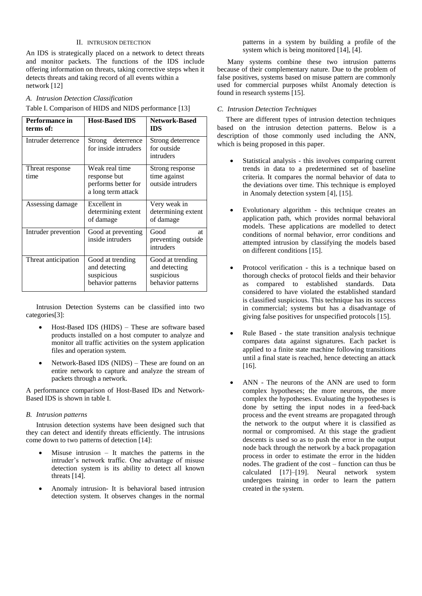# II. INTRUSION DETECTION

An IDS is strategically placed on a network to detect threats and monitor packets. The functions of the IDS include offering information on threats, taking corrective steps when it detects threats and taking record of all events within a network [12]

## *A. Intrusion Detection Classification*

Table I. Comparison of HIDS and NIDS performance [13]

| Performance in<br>terms of: | <b>Host-Based IDS</b>                                                       | <b>Network-Based</b><br><b>IDS</b>                                   |
|-----------------------------|-----------------------------------------------------------------------------|----------------------------------------------------------------------|
| Intruder deterrence         | Strong deterrence<br>for inside intruders                                   | Strong deterrence<br>for outside<br>intruders                        |
| Threat response<br>time     | Weak real time<br>response but<br>performs better for<br>a long term attack | Strong response<br>time against<br>outside intruders                 |
| Assessing damage            | Excellent in<br>determining extent<br>of damage                             | Very weak in<br>determining extent<br>of damage                      |
| Intruder prevention         | Good at preventing<br>inside intruders                                      | Good<br>at<br>preventing outside<br>intruders                        |
| Threat anticipation         | Good at trending<br>and detecting<br>suspicious<br>behavior patterns        | Good at trending<br>and detecting<br>suspicious<br>behavior patterns |

Intrusion Detection Systems can be classified into two categories[3]:

- Host-Based IDS (HIDS) These are software based products installed on a host computer to analyze and monitor all traffic activities on the system application files and operation system.
- Network-Based IDS (NIDS) These are found on an entire network to capture and analyze the stream of packets through a network.

A performance comparison of Host-Based IDs and Network-Based IDS is shown in table I.

### *B. Intrusion patterns*

Intrusion detection systems have been designed such that they can detect and identify threats efficiently. The intrusions come down to two patterns of detection [14]:

- Misuse intrusion It matches the patterns in the intruder's network traffic. One advantage of misuse detection system is its ability to detect all known threats [14].
- Anomaly intrusion- It is behavioral based intrusion detection system. It observes changes in the normal

patterns in a system by building a profile of the system which is being monitored  $[14]$ ,  $[4]$ .

Many systems combine these two intrusion patterns because of their complementary nature. Due to the problem of false positives, systems based on misuse pattern are commonly used for commercial purposes whilst Anomaly detection is found in research systems [15].

## *C. Intrusion Detection Techniques*

 There are different types of intrusion detection techniques based on the intrusion detection patterns. Below is a description of those commonly used including the ANN, which is being proposed in this paper.

- Statistical analysis this involves comparing current trends in data to a predetermined set of baseline criteria. It compares the normal behavior of data to the deviations over time. This technique is employed in Anomaly detection system [4], [15].
- Evolutionary algorithm this technique creates an application path, which provides normal behavioral models. These applications are modelled to detect conditions of normal behavior, error conditions and attempted intrusion by classifying the models based on different conditions [15].
- Protocol verification this is a technique based on thorough checks of protocol fields and their behavior as compared to established standards. Data considered to have violated the established standard is classified suspicious. This technique has its success in commercial; systems but has a disadvantage of giving false positives for unspecified protocols [15].
- Rule Based the state transition analysis technique compares data against signatures. Each packet is applied to a finite state machine following transitions until a final state is reached, hence detecting an attack [16].
- ANN The neurons of the ANN are used to form complex hypotheses; the more neurons, the more complex the hypotheses. Evaluating the hypotheses is done by setting the input nodes in a feed-back process and the event streams are propagated through the network to the output where it is classified as normal or compromised. At this stage the gradient descents is used so as to push the error in the output node back through the network by a back propagation process in order to estimate the error in the hidden nodes. The gradient of the cost – function can thus be calculated [17]–[19]. Neural network system undergoes training in order to learn the pattern created in the system.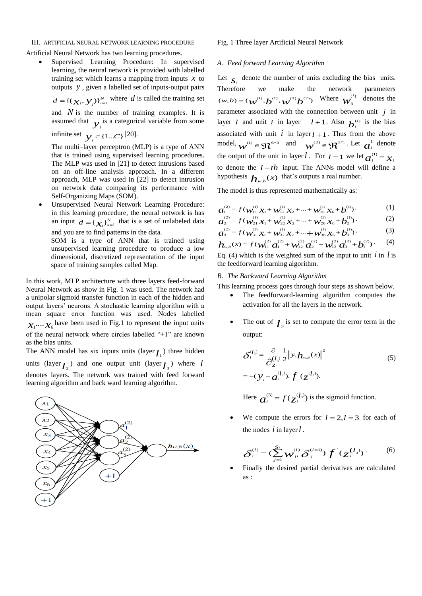# III. ARTIFICIAL NEURAL NETWORK LEARNING PROCEDURE

Artificial Neural Network has two learning procedures.

 Supervised Learning Procedure: In supervised learning, the neural network is provided with labelled training set which learns a mapping from inputs  $x$  to outputs *y* , given a labelled set of inputs-output pairs

$$
d = \{(\chi_i, \mathbf{y}_i)\}_{i=1}^N
$$
 where *d* is called the training set

and  $N$  is the number of training examples. It is assumed that  $y_i$  is a categorical variable from some

infinite set  $y_i \in \{1...C\}$  [20].

The multi–layer perceptron (MLP) is a type of ANN that is trained using supervised learning procedures. The MLP was used in [21] to detect intrusions based on an off-line analysis approach. In a different approach, MLP was used in [22] to detect intrusion on network data comparing its performance with Self-Organizing Maps (SOM).

 Unsupervised Neural Network Learning Procedure: in this learning procedure, the neural network is has an input  $d = {\chi_{i}}_{i}$ <sup>N</sup><sub>x=1</sub> that is a set of unlabeled data and you are to find patterns in the data.

SOM is a type of ANN that is trained using unsupervised learning procedure to produce a low dimensional, discretized representation of the input space of training samples called Map.

In this work, MLP architecture with three layers feed-forward Neural Network as show in Fig. 1 was used. The network had a unipolar sigmoid transfer function in each of the hidden and output layers' neurons. A stochastic learning algorithm with a mean square error function was used. Nodes labelled  $x_1 \cdots x_6$  have been used in Fig.1 to represent the input units of the neural network where circles labelled "+1" are known as the bias units.

The ANN model has six inputs units (layer  $l_1$ ) three hidden units (layer  $l_2$ ) and one output unit (layer  $l_3$ ) where l denotes layers. The network was trained with feed forward learning algorithm and back ward learning algorithm.



### Fig. 1 Three layer Artificial Neural Network

#### *A. Feed forward Learning Algorithm*

Let  $S_i$  denote the number of units excluding the bias units. Therefore we make the network parameters  $(w, b) = (\psi^{(1)}, b^{(1)}, \psi^{(2)}b^{(2)})$  Where  $\psi^{(1)}_{ii}$ *ij*  $\binom{1}{1}$  denotes the parameter associated with the connection between unit *j* in layer *l* and unit *i* in layer  $l+1$ . Also  $b_i^{(l)}$  is the bias associated with unit  $i$  in layer  $l + 1$ . Thus from the above model,  $w^{(1)} \in \mathfrak{R}^{6*3}$  and  $w^{(2)} \in \mathfrak{R}^{3*1}$ . Let  $a_i^1$  denote the output of the unit in layer *l*. For  $l = 1$  we let  $a_i^{(1)} = x_i$ to denote the  $i - th$  input. The ANNs model will define a hypothesis  $h_{w,b}(x)$  that's outputs a real number.

The model is thus represented mathematically as:

$$
a_1^{(2)} = f(\mathbf{w}_{11}^{(1)} \mathbf{x}_1 + \mathbf{w}_{12}^{(1)} \mathbf{x}_2 + \dots + \mathbf{w}_{16}^{(1)} \mathbf{x}_6 + \mathbf{b}_1^{(1)})
$$
 (1)

$$
a_2^{(2)} = f(\mathbf{w}_{21}^{(1)} \mathbf{x}_1 + \mathbf{w}_{22}^{(1)} \mathbf{x}_2 + \dots + \mathbf{w}_{26}^{(1)} \mathbf{x}_6 + \mathbf{b}_2^{(1)}).
$$
(2)  
(3)

$$
a_3^{(2)} = f(w_{31}^{(2)} x_1 + w_{32}^{(2)} x_2 + \dots + w_{36}^{(2)} x_6 + b_3^{(2)})
$$
\n
$$
h_{w,b}(x) = f(w_{11}^{(2)} a_1^{(2)} + w_{12}^{(2)} a_2^{(2)} + w_{13}^{(2)} a_3^{(2)} + b_1^{(2)})
$$
\n(4)

Eq. (4) which is the weighted sum of the input to unit  $i$  in  $l$  is the feedforward learning algorithm.

# *B. The Backward Learning Algorithm*

This learning process goes through four steps as shown below.

- The feedforward-learning algorithm computes the activation for all the layers in the network.
- The out of  $\mathcal{L}_3$  is set to compute the error term in the output:

$$
\delta_i^{(l_3)} = \frac{\partial}{\partial_{z_i}^{(l_3)}} \frac{1}{2} ||y \cdot h_{w,b}(x)||^2
$$
\n
$$
= -(y_i - a_i^{(l_3)}) \cdot f'(z_i^{(l_3)}).
$$
\n(5)

Here  $a_i^{(3)} = f(\zeta_i^{(l_3)})$  is the sigmoid function.

• We compute the errors for  $l = 2, l = 3$  for each of the nodes *i* in layer *l* .

$$
\delta_i^{(l)} = (\sum_{j=1}^{S_l} \mathcal{W}_{ji}^{(l)} \delta_j^{(l=1)}) \, f^{'}(\mathcal{Z}_i^{(l_3)}) \, . \tag{6}
$$

 Finally the desired partial derivatives are calculated as :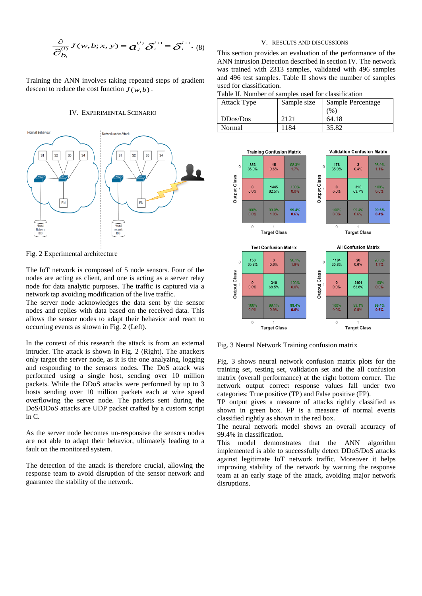$$
\frac{\partial}{\partial b_i} J(w, b; x, y) = a_j^{(l)} \delta_i^{l+1} = \delta_i^{l+1}.
$$
 (8)

Training the ANN involves taking repeated steps of gradient descent to reduce the cost function  $J(w,b)$ .

#### IV. EXPERIMENTAL SCENARIO



Fig. 2 Experimental architecture

The IoT network is composed of 5 node sensors. Four of the nodes are acting as client, and one is acting as a server relay node for data analytic purposes. The traffic is captured via a network tap avoiding modification of the live traffic.

The server node acknowledges the data sent by the sensor nodes and replies with data based on the received data. This allows the sensor nodes to adapt their behavior and react to occurring events as shown in Fig. 2 (Left).

In the context of this research the attack is from an external intruder. The attack is shown in Fig. 2 (Right). The attackers only target the server node, as it is the one analyzing, logging and responding to the sensors nodes. The DoS attack was performed using a single host, sending over 10 million packets. While the DDoS attacks were performed by up to 3 hosts sending over 10 million packets each at wire speed overflowing the server node. The packets sent during the DoS/DDoS attacks are UDP packet crafted by a custom script in C.

As the server node becomes un-responsive the sensors nodes are not able to adapt their behavior, ultimately leading to a fault on the monitored system.

The detection of the attack is therefore crucial, allowing the response team to avoid disruption of the sensor network and guarantee the stability of the network.

# V. RESULTS AND DISCUSSIONS

This section provides an evaluation of the performance of the ANN intrusion Detection described in section IV. The network was trained with 2313 samples, validated with 496 samples and 496 test samples. Table II shows the number of samples used for classification.

Table II. Number of samples used for classification

| <b>Attack Type</b> | Sample size | Sample Percentage |
|--------------------|-------------|-------------------|
|                    |             | $^{(0)}$          |
| DDos/Dos           | 2121        | 64.18             |
| Normal             | 1184        | 35.82             |



Fig. 3 Neural Network Training confusion matrix

Fig. 3 shows neural network confusion matrix plots for the training set, testing set, validation set and the all confusion matrix (overall performance) at the right bottom corner. The network output correct response values fall under two categories: True positive (TP) and False positive (FP).

TP output gives a measure of attacks rightly classified as shown in green box. FP is a measure of normal events classified rightly as shown in the red box.

The neural network model shows an overall accuracy of 99.4% in classification.

This model demonstrates that the ANN algorithm implemented is able to successfully detect DDoS/DoS attacks against legitimate IoT network traffic. Moreover it helps improving stability of the network by warning the response team at an early stage of the attack, avoiding major network disruptions.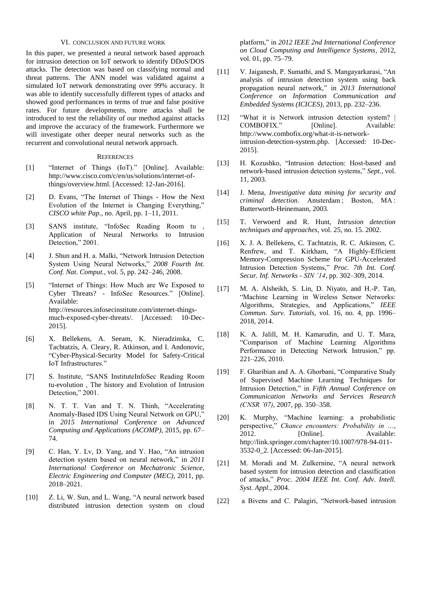## VI. CONCLUSION AND FUTURE WORK

In this paper, we presented a neural network based approach for intrusion detection on IoT network to identify DDoS/DOS attacks. The detection was based on classifying normal and threat patterns. The ANN model was validated against a simulated IoT network demonstrating over 99% accuracy. It was able to identify successfully different types of attacks and showed good performances in terms of true and false positive rates. For future developments, more attacks shall be introduced to test the reliability of our method against attacks and improve the accuracy of the framework. Furthermore we will investigate other deeper neural networks such as the recurrent and convolutional neural network approach.

#### **REFERENCES**

- [1] "Internet of Things (IoT)." [Online]. Available: http://www.cisco.com/c/en/us/solutions/internet-ofthings/overview.html. [Accessed: 12-Jan-2016].
- [2] D. Evans, "The Internet of Things How the Next Evolution of the Internet is Changing Everything," *CISCO white Pap.*, no. April, pp. 1–11, 2011.
- [3] SANS institute, "InfoSec Reading Room tu , Application of Neural Networks to Intrusion Detection," 2001.
- [4] J. Shun and H. a. Malki, "Network Intrusion Detection System Using Neural Networks," *2008 Fourth Int. Conf. Nat. Comput.*, vol. 5, pp. 242–246, 2008.
- [5] "Internet of Things: How Much are We Exposed to Cyber Threats? - InfoSec Resources." [Online]. Available: http://resources.infosecinstitute.com/internet-thingsmuch-exposed-cyber-threats/. [Accessed: 10-Dec-2015].
- [6] X. Bellekens, A. Seeam, K. Nieradzinska, C. Tachtatzis, A. Cleary, R. Atkinson, and I. Andonovic, "Cyber-Physical-Security Model for Safety-Critical IoT Infrastructures."
- [7] S. Institute, "SANS InstituteInfoSec Reading Room tu-evolution , The history and Evolution of Intrusion Detection," 2001.
- [8] N. T. T. Van and T. N. Thinh, "Accelerating Anomaly-Based IDS Using Neural Network on GPU," in *2015 International Conference on Advanced Computing and Applications (ACOMP)*, 2015, pp. 67– 74.
- [9] C. Han, Y. Lv, D. Yang, and Y. Hao, "An intrusion detection system based on neural network," in *2011 International Conference on Mechatronic Science, Electric Engineering and Computer (MEC)*, 2011, pp. 2018–2021.
- [10] Z. Li, W. Sun, and L. Wang, "A neural network based distributed intrusion detection system on cloud

platform," in *2012 IEEE 2nd International Conference on Cloud Computing and Intelligence Systems*, 2012, vol. 01, pp. 75–79.

- [11] V. Jaiganesh, P. Sumathi, and S. Mangayarkarasi, "An analysis of intrusion detection system using back propagation neural network," in *2013 International Conference on Information Communication and Embedded Systems (ICICES)*, 2013, pp. 232–236.
- [12] "What it is Network intrusion detection system? | COMBOFIX." [Online]. Available: http://www.combofix.org/what-it-is-networkintrusion-detection-system.php. [Accessed: 10-Dec-2015].
- [13] H. Kozushko, "Intrusion detection: Host-based and network-based intrusion detection systems," *Sept.*, vol. 11, 2003.
- [14] J. Mena, *Investigative data mining for security and criminal detection*. Amsterdam ; Boston, MA : Butterworth-Heinemann, 2003.
- [15] T. Verwoerd and R. Hunt, *Intrusion detection techniques and approaches*, vol. 25, no. 15. 2002.
- [16] X. J. A. Bellekens, C. Tachtatzis, R. C. Atkinson, C. Renfrew, and T. Kirkham, "A Highly-Efficient Memory-Compression Scheme for GPU-Accelerated Intrusion Detection Systems," *Proc. 7th Int. Conf. Secur. Inf. Networks - SIN '14*, pp. 302–309, 2014.
- [17] M. A. Alsheikh, S. Lin, D. Niyato, and H.-P. Tan, "Machine Learning in Wireless Sensor Networks: Algorithms, Strategies, and Applications," *IEEE Commun. Surv. Tutorials*, vol. 16, no. 4, pp. 1996– 2018, 2014.
- [18] K. A. Jalill, M. H. Kamarudin, and U. T. Mara, "Comparison of Machine Learning Algorithms Performance in Detecting Network Intrusion," pp. 221–226, 2010.
- [19] F. Gharibian and A. A. Ghorbani, "Comparative Study of Supervised Machine Learning Techniques for Intrusion Detection," in *Fifth Annual Conference on Communication Networks and Services Research (CNSR '07)*, 2007, pp. 350–358.
- [20] K. Murphy, "Machine learning: a probabilistic perspective," *Chance encounters: Probability in …*, [Online]. Available: http://link.springer.com/chapter/10.1007/978-94-011- 3532-0\_2. [Accessed: 06-Jan-2015].
- [21] M. Moradi and M. Zulkernine, "A neural network based system for intrusion detection and classification of attacks," *Proc. 2004 IEEE Int. Conf. Adv. Intell. Syst. Appl.*, 2004.
- [22] a Bivens and C. Palagiri, "Network-based intrusion